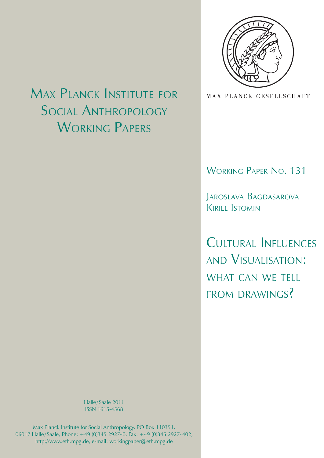

MAX-PLANCK-GESELLSCHAFT

Working Paper No. 131

Jaroslava Bagdasarova Kirill Istomin

Cultural Influences and Visualisation: what can we tell from drawings?

Max Planck Institute for Social Anthropology WORKING PAPERS

> Halle/Saale 2011 ISSN 1615-4568

Max Planck Institute for Social Anthropology, PO Box 110351, 06017 Halle/ Saale, Phone: +49 (0)345 2927-0, Fax: +49 (0)345 2927-402, http://www.eth.mpg.de, e-mail: workingpaper@eth.mpg.de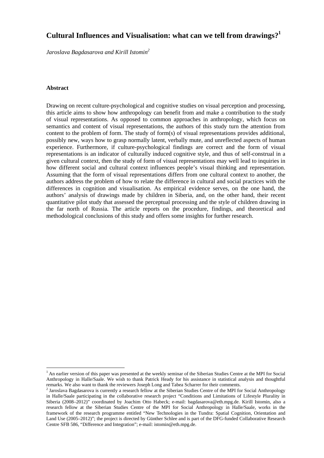# **Cultural Influences and Visualisation: what can we tell from drawings?1**

*Jaroslava Bagdasarova and Kirill Istomin2*

## **Abstract**

1

Drawing on recent culture-psychological and cognitive studies on visual perception and processing, this article aims to show how anthropology can benefit from and make a contribution to the study of visual representations. As opposed to common approaches in anthropology, which focus on semantics and content of visual representations, the authors of this study turn the attention from content to the problem of form. The study of form(s) of visual representations provides additional, possibly new, ways how to grasp normally latent, verbally mute, and unreflected aspects of human experience. Furthermore, if culture-psychological findings are correct and the form of visual representations is an indicator of culturally induced cognitive style, and thus of self-construal in a given cultural context, then the study of form of visual representations may well lead to inquiries in how different social and cultural context influences people's visual thinking and representation. Assuming that the form of visual representations differs from one cultural context to another, the authors address the problem of how to relate the difference in cultural and social practices with the differences in cognition and visualisation. As empirical evidence serves, on the one hand, the authors' analysis of drawings made by children in Siberia, and, on the other hand, their recent quantitative pilot study that assessed the perceptual processing and the style of children drawing in the far north of Russia. The article reports on the procedure, findings, and theoretical and methodological conclusions of this study and offers some insights for further research.

<sup>&</sup>lt;sup>1</sup> An earlier version of this paper was presented at the weekly seminar of the Siberian Studies Centre at the MPI for Social Anthropology in Halle/Saale. We wish to thank Patrick Heady for his assistance in statistical analysis and thoughtful remarks. We also want to thank the reviewers Joseph Long and Tabea Scharrer for their comments.

<sup>&</sup>lt;sup>2</sup> Jaroslava Bagdasarova is currently a research fellow at the Siberian Studies Centre of the MPI for Social Anthropology in Halle/Saale participating in the collaborative research project "Conditions and Limitations of Lifestyle Plurality in Siberia (2008–2012)" coordinated by Joachim Otto Habeck; e-mail: bagdasarova@eth.mpg.de. Kirill Istomin, also a research fellow at the Siberian Studies Centre of the MPI for Social Anthropology in Halle/Saale, works in the framework of the research programme entitled "New Technologies in the Tundra: Spatial Cognition, Orientation and Land Use (2005–2012)"; the project is directed by Günther Schlee and is part of the DFG-funded Collaborative Research Centre SFB 586, "Difference and Integration"; e-mail: istomin@eth.mpg.de.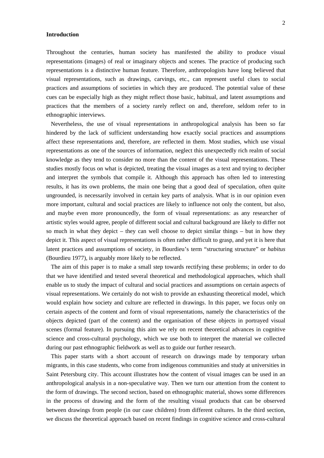## **Introduction**

Throughout the centuries, human society has manifested the ability to produce visual representations (images) of real or imaginary objects and scenes. The practice of producing such representations is a distinctive human feature. Therefore, anthropologists have long believed that visual representations, such as drawings, carvings, etc., can represent useful clues to social practices and assumptions of societies in which they are produced. The potential value of these cues can be especially high as they might reflect those basic, habitual, and latent assumptions and practices that the members of a society rarely reflect on and, therefore, seldom refer to in ethnographic interviews.

Nevertheless, the use of visual representations in anthropological analysis has been so far hindered by the lack of sufficient understanding how exactly social practices and assumptions affect these representations and, therefore, are reflected in them. Most studies, which use visual representations as one of the sources of information, neglect this unexpectedly rich realm of social knowledge as they tend to consider no more than the content of the visual representations. These studies mostly focus on what is depicted, treating the visual images as a text and trying to decipher and interpret the symbols that compile it. Although this approach has often led to interesting results, it has its own problems, the main one being that a good deal of speculation, often quite ungrounded, is necessarily involved in certain key parts of analysis. What is in our opinion even more important, cultural and social practices are likely to influence not only the content, but also, and maybe even more pronouncedly, the form of visual representations: as any researcher of artistic styles would agree, people of different social and cultural background are likely to differ not so much in what they depict – they can well choose to depict similar things – but in how they depict it. This aspect of visual representations is often rather difficult to grasp, and yet it is here that latent practices and assumptions of society, in Bourdieu's term "structuring structure" or *habitus* (Bourdieu 1977), is arguably more likely to be reflected.

The aim of this paper is to make a small step towards rectifying these problems; in order to do that we have identified and tested several theoretical and methodological approaches, which shall enable us to study the impact of cultural and social practices and assumptions on certain aspects of visual representations. We certainly do not wish to provide an exhausting theoretical model, which would explain how society and culture are reflected in drawings. In this paper, we focus only on certain aspects of the content and form of visual representations, namely the characteristics of the objects depicted (part of the content) and the organisation of these objects in portrayed visual scenes (formal feature). In pursuing this aim we rely on recent theoretical advances in cognitive science and cross-cultural psychology, which we use both to interpret the material we collected during our past ethnographic fieldwork as well as to guide our further research.

This paper starts with a short account of research on drawings made by temporary urban migrants, in this case students, who come from indigenous communities and study at universities in Saint Petersburg city. This account illustrates how the content of visual images can be used in an anthropological analysis in a non-speculative way. Then we turn our attention from the content to the form of drawings. The second section, based on ethnographic material, shows some differences in the process of drawing and the form of the resulting visual products that can be observed between drawings from people (in our case children) from different cultures. In the third section, we discuss the theoretical approach based on recent findings in cognitive science and cross-cultural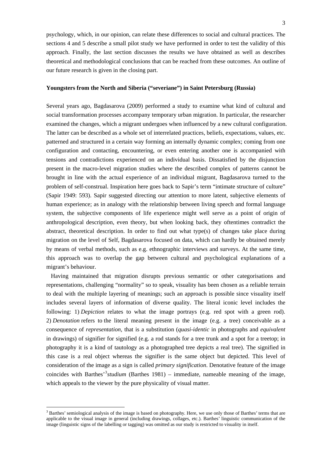psychology, which, in our opinion, can relate these differences to social and cultural practices. The sections 4 and 5 describe a small pilot study we have performed in order to test the validity of this approach. Finally, the last section discusses the results we have obtained as well as describes theoretical and methodological conclusions that can be reached from these outcomes. An outline of our future research is given in the closing part.

## **Youngsters from the North and Siberia ("severiane") in Saint Petersburg (Russia)**

Several years ago, Bagdasarova (2009) performed a study to examine what kind of cultural and social transformation processes accompany temporary urban migration. In particular, the researcher examined the changes, which a migrant undergoes when influenced by a new cultural configuration. The latter can be described as a whole set of interrelated practices, beliefs, expectations, values, etc. patterned and structured in a certain way forming an internally dynamic complex; coming from one configuration and contacting, encountering, or even entering another one is accompanied with tensions and contradictions experienced on an individual basis. Dissatisfied by the disjunction present in the macro-level migration studies where the described complex of patterns cannot be brought in line with the actual experience of an individual migrant, Bagdasarova turned to the problem of self-construal. Inspiration here goes back to Sapir's term "intimate structure of culture" (Sapir 1949: 593). Sapir suggested directing our attention to more latent, subjective elements of human experience; as in analogy with the relationship between living speech and formal language system, the subjective components of life experience might well serve as a point of origin of anthropological description, even theory, but when looking back, they oftentimes contradict the abstract, theoretical description. In order to find out what type(s) of changes take place during migration on the level of Self, Bagdasarova focused on data, which can hardly be obtained merely by means of verbal methods, such as e.g. ethnographic interviews and surveys. At the same time, this approach was to overlap the gap between cultural and psychological explanations of a migrant's behaviour.

Having maintained that migration disrupts previous semantic or other categorisations and representations, challenging "normality" so to speak, visuality has been chosen as a reliable terrain to deal with the multiple layering of meanings; such an approach is possible since visuality itself includes several layers of information of diverse quality. The literal iconic level includes the following: 1) *Depiction* relates to what the image portrays (e.g. red spot with a green rod). 2) *Denotation* refers to the literal meaning present in the image (e.g. a tree) conceivable as a consequence of *representation,* that is a substitution (*quasi-identic* in photographs and *equivalent* in drawings) of signifier for signified (e.g. a rod stands for a tree trunk and a spot for a treetop; in photography it is a kind of tautology as a photographed tree depicts a real tree). The signified in this case is a real object whereas the signifier is the same object but depicted. This level of consideration of the image as a sign is called *primary signification*. Denotative feature of the image coincides with Barthes<sup>3</sup>studium (Barthes 1981) – immediate, nameable meaning of the image, which appeals to the viewer by the pure physicality of visual matter.

1

<sup>&</sup>lt;sup>3</sup> Barthes' semiological analysis of the image is based on photography. Here, we use only those of Barthes' terms that are applicable to the visual image in general (including drawings, collages, etc.). Barthes' linguistic communication of the image (linguistic signs of the labelling or tagging) was omitted as our study is restricted to visuality in itself.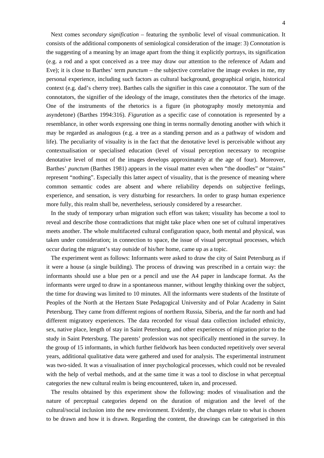Next comes *secondary signification* – featuring the symbolic level of visual communication. It consists of the additional components of semiological consideration of the image: 3) *Connotation* is the suggesting of a meaning by an image apart from the thing it explicitly portrays, its signification (e.g. a rod and a spot conceived as a tree may draw our attention to the reference of Adam and Eve); it is close to Barthes' term *punctum* – the subjective correlative the image evokes in me, my personal experience, including such factors as cultural background, geographical origin, historical context (e.g. dad's cherry tree). Barthes calls the signifier in this case a connotator. The sum of the connotators, the signifier of the ideology of the image, constitutes then the rhetorics of the image. One of the instruments of the rhetorics is a figure (in photography mostly metonymia and asyndetone) (Barthes 1994:316). *Figuration* as a specific case of connotation is represented by a resemblance, in other words expressing one thing in terms normally denoting another with which it may be regarded as analogous (e.g. a tree as a standing person and as a pathway of wisdom and life). The peculiarity of visuality is in the fact that the denotative level is perceivable without any contextualisation or specialised education (level of visual perception necessary to recognise denotative level of most of the images develops approximately at the age of four). Moreover, Barthes' *punctum* (Barthes 1981) appears in the visual matter even when "the doodles" or "stains" represent "nothing". Especially this latter aspect of visuality, that is the presence of meaning where common semantic codes are absent and where reliability depends on subjective feelings, experience, and sensation, is very disturbing for researchers. In order to grasp human experience more fully, this realm shall be, nevertheless, seriously considered by a researcher.

In the study of temporary urban migration such effort was taken; visuality has become a tool to reveal and describe those contradictions that might take place when one set of cultural imperatives meets another. The whole multifaceted cultural configuration space, both mental and physical, was taken under consideration; in connection to space, the issue of visual perceptual processes, which occur during the migrant's stay outside of his/her home, came up as a topic.

The experiment went as follows: Informants were asked to draw the city of Saint Petersburg as if it were a house (a single building). The process of drawing was prescribed in a certain way: the informants should use a blue pen or a pencil and use the A4 paper in landscape format. As the informants were urged to draw in a spontaneous manner, without lengthy thinking over the subject, the time for drawing was limited to 10 minutes. All the informants were students of the Institute of Peoples of the North at the Hertzen State Pedagogical University and of Polar Academy in Saint Petersburg. They came from different regions of northern Russia, Siberia, and the far north and had different migratory experiences. The data recorded for visual data collection included ethnicity, sex, native place, length of stay in Saint Petersburg, and other experiences of migration prior to the study in Saint Petersburg. The parents' profession was not specifically mentioned in the survey. In the group of 15 informants, in which further fieldwork has been conducted repetitively over several years, additional qualitative data were gathered and used for analysis. The experimental instrument was two-sided. It was a visualisation of inner psychological processes, which could not be revealed with the help of verbal methods, and at the same time it was a tool to disclose in what perceptual categories the new cultural realm is being encountered, taken in, and processed.

The results obtained by this experiment show the following: modes of visualisation and the nature of perceptual categories depend on the duration of migration and the level of the cultural/social inclusion into the new environment. Evidently, the changes relate to what is chosen to be drawn and how it is drawn. Regarding the content, the drawings can be categorised in this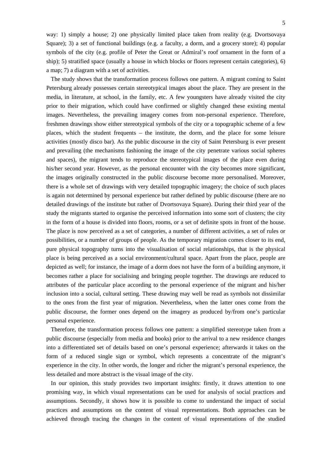way: 1) simply a house; 2) one physically limited place taken from reality (e.g. Dvortsovaya Square); 3) a set of functional buildings (e.g. a faculty, a dorm, and a grocery store); 4) popular symbols of the city (e.g. profile of Peter the Great or Admiral's roof ornament in the form of a ship); 5) stratified space (usually a house in which blocks or floors represent certain categories), 6) a map; 7) a diagram with a set of activities.

The study shows that the transformation process follows one pattern. A migrant coming to Saint Petersburg already possesses certain stereotypical images about the place. They are present in the media, in literature, at school, in the family, etc. A few youngsters have already visited the city prior to their migration, which could have confirmed or slightly changed these existing mental images. Nevertheless, the prevailing imagery comes from non-personal experience. Therefore, freshmen drawings show either stereotypical symbols of the city or a topographic scheme of a few places, which the student frequents – the institute, the dorm, and the place for some leisure activities (mostly disco bar). As the public discourse in the city of Saint Petersburg is ever present and prevailing (the mechanisms fashioning the image of the city penetrate various social spheres and spaces), the migrant tends to reproduce the stereotypical images of the place even during his/her second year. However, as the personal encounter with the city becomes more significant, the images originally constructed in the public discourse become more personalised. Moreover, there is a whole set of drawings with very detailed topographic imagery; the choice of such places is again not determined by personal experience but rather defined by public discourse (there are no detailed drawings of the institute but rather of Dvortsovaya Square). During their third year of the study the migrants started to organise the perceived information into some sort of clusters; the city in the form of a house is divided into floors, rooms, or a set of definite spots in front of the house. The place is now perceived as a set of categories, a number of different activities, a set of rules or possibilities, or a number of groups of people. As the temporary migration comes closer to its end, pure physical topography turns into the visualisation of social relationships, that is the physical place is being perceived as a social environment/cultural space. Apart from the place, people are depicted as well; for instance, the image of a dorm does not have the form of a building anymore, it becomes rather a place for socialising and bringing people together. The drawings are reduced to attributes of the particular place according to the personal experience of the migrant and his/her inclusion into a social, cultural setting. These drawing may well be read as symbols not dissimilar to the ones from the first year of migration. Nevertheless, when the latter ones come from the public discourse, the former ones depend on the imagery as produced by/from one's particular personal experience.

Therefore, the transformation process follows one pattern: a simplified stereotype taken from a public discourse (especially from media and books) prior to the arrival to a new residence changes into a differentiated set of details based on one's personal experience; afterwards it takes on the form of a reduced single sign or symbol, which represents a concentrate of the migrant's experience in the city. In other words, the longer and richer the migrant's personal experience, the less detailed and more abstract is the visual image of the city.

In our opinion, this study provides two important insights: firstly, it draws attention to one promising way, in which visual representations can be used for analysis of social practices and assumptions. Secondly, it shows how it is possible to come to understand the impact of social practices and assumptions on the content of visual representations. Both approaches can be achieved through tracing the changes in the content of visual representations of the studied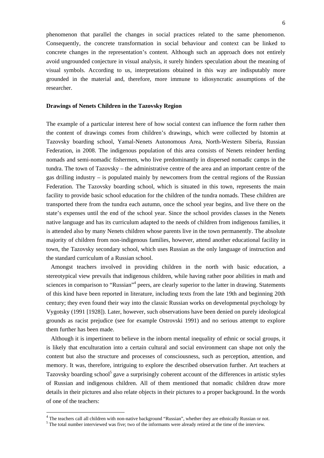phenomenon that parallel the changes in social practices related to the same phenomenon. Consequently, the concrete transformation in social behaviour and context can be linked to concrete changes in the representation's content. Although such an approach does not entirely avoid ungrounded conjecture in visual analysis, it surely hinders speculation about the meaning of visual symbols. According to us, interpretations obtained in this way are indisputably more grounded in the material and, therefore, more immune to idiosyncratic assumptions of the researcher.

## **Drawings of Nenets Children in the Tazovsky Region**

The example of a particular interest here of how social context can influence the form rather then the content of drawings comes from children's drawings, which were collected by Istomin at Tazovsky boarding school, Yamal-Nenets Autonomous Area, North-Western Siberia, Russian Federation, in 2008. The indigenous population of this area consists of Nenets reindeer herding nomads and semi-nomadic fishermen, who live predominantly in dispersed nomadic camps in the tundra. The town of Tazovsky – the administrative centre of the area and an important centre of the gas drilling industry – is populated mainly by newcomers from the central regions of the Russian Federation. The Tazovsky boarding school, which is situated in this town, represents the main facility to provide basic school education for the children of the tundra nomads. These children are transported there from the tundra each autumn, once the school year begins, and live there on the state's expenses until the end of the school year. Since the school provides classes in the Nenets native language and has its curriculum adapted to the needs of children from indigenous families, it is attended also by many Nenets children whose parents live in the town permanently. The absolute majority of children from non-indigenous families, however, attend another educational facility in town, the Tazovsky secondary school, which uses Russian as the only language of instruction and the standard curriculum of a Russian school.

Amongst teachers involved in providing children in the north with basic education, a stereotypical view prevails that indigenous children, while having rather poor abilities in math and sciences in comparison to "Russian"<sup>4</sup> peers, are clearly superior to the latter in drawing. Statements of this kind have been reported in literature, including texts from the late 19th and beginning 20th century; they even found their way into the classic Russian works on developmental psychology by Vygotsky (1991 [1928]). Later, however, such observations have been denied on purely ideological grounds as racist prejudice (see for example Ostrovski 1991) and no serious attempt to explore them further has been made.

Although it is impertinent to believe in the inborn mental inequality of ethnic or social groups, it is likely that enculturation into a certain cultural and social environment can shape not only the content but also the structure and processes of consciousness, such as perception, attention, and memory. It was, therefore, intriguing to explore the described observation further. Art teachers at Tazovsky boarding school<sup>5</sup> gave a surprisingly coherent account of the differences in artistic styles of Russian and indigenous children. All of them mentioned that nomadic children draw more details in their pictures and also relate objects in their pictures to a proper background. In the words of one of the teachers:

1

<sup>&</sup>lt;sup>4</sup> The teachers call all children with non-native background "Russian", whether they are ethnically Russian or not.

 $5$  The total number interviewed was five; two of the informants were already retired at the time of the interview.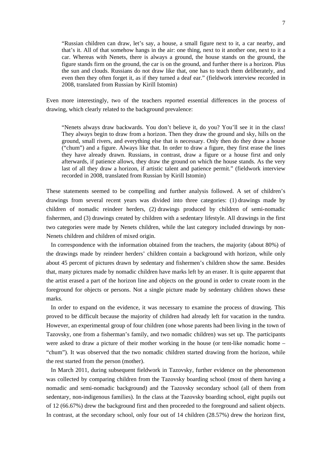"Russian children can draw, let's say, a house, a small figure next to it, a car nearby, and that's it. All of that somehow hangs in the air: one thing, next to it another one, next to it a car. Whereas with Nenets, there is always a ground, the house stands on the ground, the figure stands firm on the ground, the car is on the ground, and further there is a horizon. Plus the sun and clouds. Russians do not draw like that, one has to teach them deliberately, and even then they often forget it, as if they turned a deaf ear." (fieldwork interview recorded in 2008, translated from Russian by Kirill Istomin)

Even more interestingly, two of the teachers reported essential differences in the process of drawing, which clearly related to the background prevalence:

"Nenets always draw backwards. You don't believe it, do you? You'll see it in the class! They always begin to draw from a horizon. Then they draw the ground and sky, hills on the ground, small rivers, and everything else that is necessary. Only then do they draw a house ("chum") and a figure. Always like that. In order to draw a figure, they first erase the lines they have already drawn. Russians, in contrast, draw a figure or a house first and only afterwards, if patience allows, they draw the ground on which the house stands. As the very last of all they draw a horizon, if artistic talent and patience permit." (fieldwork interview recorded in 2008, translated from Russian by Kirill Istomin)

These statements seemed to be compelling and further analysis followed. A set of children's drawings from several recent years was divided into three categories: (1) drawings made by children of nomadic reindeer herders, (2) drawings produced by children of semi-nomadic fishermen, and (3) drawings created by children with a sedentary lifestyle. All drawings in the first two categories were made by Nenets children, while the last category included drawings by non-Nenets children and children of mixed origin.

In correspondence with the information obtained from the teachers, the majority (about 80%) of the drawings made by reindeer herders' children contain a background with horizon, while only about 45 percent of pictures drawn by sedentary and fishermen's children show the same. Besides that, many pictures made by nomadic children have marks left by an eraser. It is quite apparent that the artist erased a part of the horizon line and objects on the ground in order to create room in the foreground for objects or persons. Not a single picture made by sedentary children shows these marks.

In order to expand on the evidence, it was necessary to examine the process of drawing. This proved to be difficult because the majority of children had already left for vacation in the tundra. However, an experimental group of four children (one whose parents had been living in the town of Tazovsky, one from a fisherman's family, and two nomadic children) was set up. The participants were asked to draw a picture of their mother working in the house (or tent-like nomadic home – "chum"). It was observed that the two nomadic children started drawing from the horizon, while the rest started from the person (mother).

In March 2011, during subsequent fieldwork in Tazovsky, further evidence on the phenomenon was collected by comparing children from the Tazovsky boarding school (most of them having a nomadic and semi-nomadic background) and the Tazovsky secondary school (all of them from sedentary, non-indigenous families). In the class at the Tazovsky boarding school, eight pupils out of 12 (66.67%) drew the background first and then proceeded to the foreground and salient objects. In contrast, at the secondary school, only four out of 14 children (28.57%) drew the horizon first,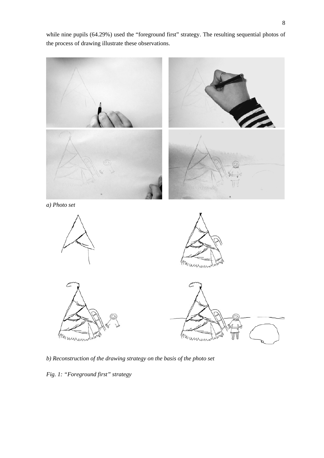while nine pupils (64.29%) used the "foreground first" strategy. The resulting sequential photos of the process of drawing illustrate these observations.



*b) Reconstruction of the drawing strategy on the basis of the photo set* 

*Fig. 1: "Foreground first" strategy*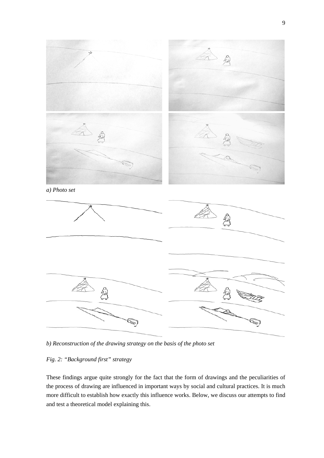

*b) Reconstruction of the drawing strategy on the basis of the photo set* 

## *Fig. 2: "Background first" strategy*

These findings argue quite strongly for the fact that the form of drawings and the peculiarities of the process of drawing are influenced in important ways by social and cultural practices. It is much more difficult to establish how exactly this influence works. Below, we discuss our attempts to find and test a theoretical model explaining this.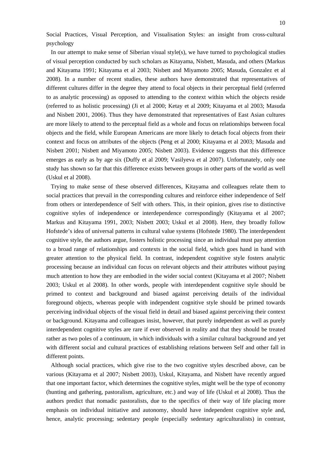Social Practices, Visual Perception, and Visualisation Styles: an insight from cross-cultural psychology

In our attempt to make sense of Siberian visual style(s), we have turned to psychological studies of visual perception conducted by such scholars as Kitayama, Nisbett, Masuda, and others (Markus and Kitayama 1991; Kitayama et al 2003; Nisbett and Miyamoto 2005; Masuda, Gonzalez et al 2008). In a number of recent studies, these authors have demonstrated that representatives of different cultures differ in the degree they attend to focal objects in their perceptual field (referred to as analytic processing) as opposed to attending to the context within which the objects reside (referred to as holistic processing) (Ji et al 2000; Ketay et al 2009; Kitayama et al 2003; Masuda and Nisbett 2001, 2006). Thus they have demonstrated that representatives of East Asian cultures are more likely to attend to the perceptual field as a whole and focus on relationships between focal objects and the field, while European Americans are more likely to detach focal objects from their context and focus on attributes of the objects (Peng et al 2000; Kitayama et al 2003; Masuda and Nisbett 2001; Nisbett and Miyamoto 2005; Nisbett 2003). Evidence suggests that this difference emerges as early as by age six (Duffy et al 2009; Vasilyeva et al 2007). Unfortunately, only one study has shown so far that this difference exists between groups in other parts of the world as well (Uskul et al 2008).

Trying to make sense of these observed differences, Kitayama and colleagues relate them to social practices that prevail in the corresponding cultures and reinforce either independence of Self from others or interdependence of Self with others. This, in their opinion, gives rise to distinctive cognitive styles of independence or interdependence correspondingly (Kitayama et al 2007; Markus and Kitayama 1991, 2003; Nisbett 2003; Uskul et al 2008). Here, they broadly follow Hofstede's idea of universal patterns in cultural value systems (Hofstede 1980). The interdependent cognitive style, the authors argue, fosters holistic processing since an individual must pay attention to a broad range of relationships and contexts in the social field, which goes hand in hand with greater attention to the physical field. In contrast, independent cognitive style fosters analytic processing because an individual can focus on relevant objects and their attributes without paying much attention to how they are embodied in the wider social context (Kitayama et al 2007; Nisbett 2003; Uskul et al 2008). In other words, people with interdependent cognitive style should be primed to context and background and biased against perceiving details of the individual foreground objects, whereas people with independent cognitive style should be primed towards perceiving individual objects of the visual field in detail and biased against perceiving their context or background. Kitayama and colleagues insist, however, that purely independent as well as purely interdependent cognitive styles are rare if ever observed in reality and that they should be treated rather as two poles of a continuum, in which individuals with a similar cultural background and yet with different social and cultural practices of establishing relations between Self and other fall in different points.

Although social practices, which give rise to the two cognitive styles described above, can be various (Kitayama et al 2007; Nisbett 2003), Uskul, Kitayama, and Nisbett have recently argued that one important factor, which determines the cognitive styles, might well be the type of economy (hunting and gathering, pastoralism, agriculture, etc.) and way of life (Uskul et al 2008). Thus the authors predict that nomadic pastoralists, due to the specifics of their way of life placing more emphasis on individual initiative and autonomy, should have independent cognitive style and, hence, analytic processing; sedentary people (especially sedentary agriculturalists) in contrast,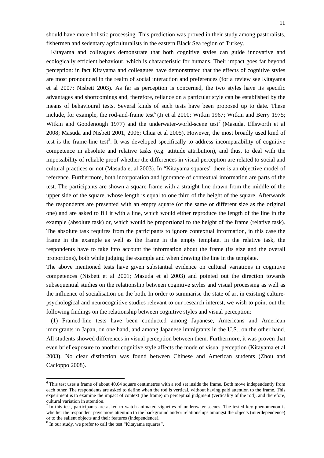should have more holistic processing. This prediction was proved in their study among pastoralists, fishermen and sedentary agriculturalists in the eastern Black Sea region of Turkey.

Kitayama and colleagues demonstrate that both cognitive styles can guide innovative and ecologically efficient behaviour, which is characteristic for humans. Their impact goes far beyond perception: in fact Kitayama and colleagues have demonstrated that the effects of cognitive styles are most pronounced in the realm of social interaction and preferences (for a review see Kitayama et al 2007; Nisbett 2003). As far as perception is concerned, the two styles have its specific advantages and shortcomings and, therefore, reliance on a particular style can be established by the means of behavioural tests. Several kinds of such tests have been proposed up to date. These include, for example, the rod-and-frame test<sup>6</sup> (Ji et al 2000; Witkin 1967; Witkin and Berry 1975; Witkin and Goodenough 1977) and the underwater-world-scene test<sup>7</sup> (Masuda, Ellsworth et al 2008; Masuda and Nisbett 2001, 2006; Chua et al 2005). However, the most broadly used kind of test is the frame-line test<sup>8</sup>. It was developed specifically to address incomparability of cognitive competence in absolute and relative tasks (e.g. attitude attribution), and thus, to deal with the impossibility of reliable proof whether the differences in visual perception are related to social and cultural practices or not (Masuda et al 2003). In "Kitayama squares" there is an objective model of reference. Furthermore, both incorporation and ignorance of contextual information are parts of the test. The participants are shown a square frame with a straight line drawn from the middle of the upper side of the square, whose length is equal to one third of the height of the square. Afterwards the respondents are presented with an empty square (of the same or different size as the original one) and are asked to fill it with a line, which would either reproduce the length of the line in the example (absolute task) or, which would be proportional to the height of the frame (relative task). The absolute task requires from the participants to ignore contextual information, in this case the frame in the example as well as the frame in the empty template. In the relative task, the respondents have to take into account the information about the frame (its size and the overall proportions), both while judging the example and when drawing the line in the template.

The above mentioned tests have given substantial evidence on cultural variations in cognitive competences (Nisbett et al 2001; Masuda et al 2003) and pointed out the direction towards subsequential studies on the relationship between cognitive styles and visual processing as well as the influence of socialisation on the both. In order to summarise the state of art in existing culturepsychological and neurocognitive studies relevant to our research interest, we wish to point out the following findings on the relationship between cognitive styles and visual perception:

(1) Framed-line tests have been conducted among Japanese, Americans and American immigrants in Japan, on one hand, and among Japanese immigrants in the U.S., on the other hand. All students showed differences in visual perception between them. Furthermore, it was proven that even brief exposure to another cognitive style affects the mode of visual perception (Kitayama et al 2003). No clear distinction was found between Chinese and American students (Zhou and Cacioppo 2008).

1

 $6$  This test uses a frame of about 40.64 square centimetres with a rod set inside the frame. Both move independently from each other. The respondents are asked to define when the rod is vertical, without having paid attention to the frame. This experiment is to examine the impact of context (the frame) on perceptual judgment (verticality of the rod), and therefore, cultural variation in attention.

 $<sup>7</sup>$  In this test, participants are asked to watch animated vignettes of underwater scenes. The tested key phenomenon is</sup> whether the respondent pays more attention to the background and/or relationships amongst the objects (interdependence) or to the salient objects and their features (independence).

<sup>&</sup>lt;sup>8</sup> In our study, we prefer to call the test "Kitayama squares".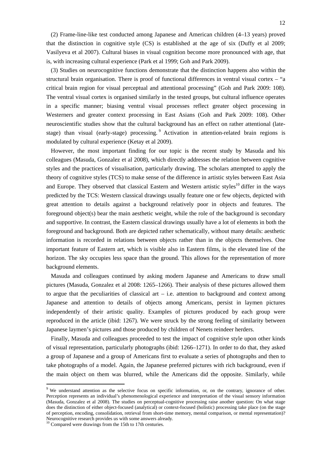(2) Frame-line-like test conducted among Japanese and American children (4–13 years) proved that the distinction in cognitive style (CS) is established at the age of six (Duffy et al 2009; Vasilyeva et al 2007). Cultural biases in visual cognition become more pronounced with age, that is, with increasing cultural experience (Park et al 1999; Goh and Park 2009).

(3) Studies on neurocognitive functions demonstrate that the distinction happens also within the structural brain organisation. There is proof of functional differences in ventral visual cortex – "a critical brain region for visual perceptual and attentional processing" (Goh and Park 2009: 108). The ventral visual cortex is organised similarly in the tested groups, but cultural influence operates in a specific manner; biasing ventral visual processes reflect greater object processing in Westerners and greater context processing in East Asians (Goh and Park 2009: 108). Other neuroscientific studies show that the cultural background has an effect on rather attentional (latestage) than visual (early-stage) processing. Activation in attention-related brain regions is modulated by cultural experience (Ketay et al 2009).

However, the most important finding for our topic is the recent study by Masuda and his colleagues (Masuda, Gonzalez et al 2008), which directly addresses the relation between cognitive styles and the practices of visualisation, particularly drawing. The scholars attempted to apply the theory of cognitive styles (TCS) to make sense of the difference in artistic styles between East Asia and Europe. They observed that classical Eastern and Western artistic styles<sup>10</sup> differ in the ways predicted by the TCS: Western classical drawings usually feature one or few objects, depicted with great attention to details against a background relatively poor in objects and features. The foreground object(s) bear the main aesthetic weight, while the role of the background is secondary and supportive. In contrast, the Eastern classical drawings usually have a lot of elements in both the foreground and background. Both are depicted rather schematically, without many details: aesthetic information is recorded in relations between objects rather than in the objects themselves. One important feature of Eastern art, which is visible also in Eastern films, is the elevated line of the horizon. The sky occupies less space than the ground. This allows for the representation of more background elements.

Masuda and colleagues continued by asking modern Japanese and Americans to draw small pictures (Masuda, Gonzalez et al 2008: 1265–1266). Their analysis of these pictures allowed them to argue that the peculiarities of classical art  $-$  i.e. attention to background and context among Japanese and attention to details of objects among Americans, persist in laymen pictures independently of their artistic quality. Examples of pictures produced by each group were reproduced in the article (ibid: 1267). We were struck by the strong feeling of similarity between Japanese laymen's pictures and those produced by children of Nenets reindeer herders.

Finally, Masuda and colleagues proceeded to test the impact of cognitive style upon other kinds of visual representation, particularly photographs (ibid: 1266–1271). In order to do that, they asked a group of Japanese and a group of Americans first to evaluate a series of photographs and then to take photographs of a model. Again, the Japanese preferred pictures with rich background, even if the main object on them was blurred, while the Americans did the opposite. Similarly, while

1

<sup>&</sup>lt;sup>9</sup> We understand attention as the selective focus on specific information, or, on the contrary, ignorance of other. Perception represents an individual's phenomenological experience and interpretation of the visual sensory information (Masuda, Gonzalez et al 2008). The studies on perceptual-cognitive processing raise another question: On what stage does the distinction of either object-focused (analytical) or context-focused (holistic) processing take place (on the stage of perception, encoding, consolidation, retrieval from short-time memory, mental comparison, or mental representation)? Neurocognitive research provides us with some answers already.

<sup>&</sup>lt;sup>10</sup> Compared were drawings from the 15th to 17th centuries.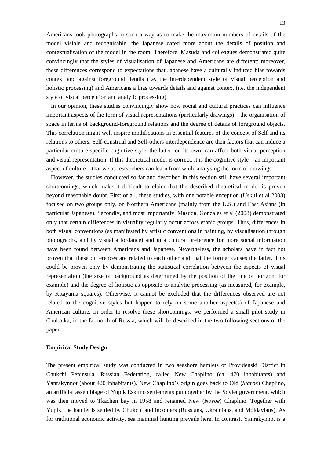Americans took photographs in such a way as to make the maximum numbers of details of the model visible and recognisable, the Japanese cared more about the details of position and contextualisation of the model in the room. Therefore, Masuda and colleagues demonstrated quite convincingly that the styles of visualisation of Japanese and Americans are different; moreover, these differences correspond to expectations that Japanese have a culturally induced bias towards context and against foreground details (i.e. the interdependent style of visual perception and holistic processing) and Americans a bias towards details and against context (i.e. the independent style of visual perception and analytic processing).

In our opinion, these studies convincingly show how social and cultural practices can influence important aspects of the form of visual representations (particularly drawings) – the organisation of space in terms of background-foreground relations and the degree of details of foreground objects. This correlation might well inspire modifications in essential features of the concept of Self and its relations to others. Self-construal and Self-others interdependence are then factors that can induce a particular culture-specific cognitive style; the latter, on its own, can affect both visual perception and visual representation. If this theoretical model is correct, it is the cognitive style – an important aspect of culture – that we as researchers can learn from while analysing the form of drawings.

However, the studies conducted so far and described in this section still have several important shortcomings, which make it difficult to claim that the described theoretical model is proven beyond reasonable doubt. First of all, these studies, with one notable exception (Uskul et al 2008) focused on two groups only, on Northern Americans (mainly from the U.S.) and East Asians (in particular Japanese). Secondly, and most importantly, Masuda, Gonzales et al (2008) demonstrated only that certain differences in visuality regularly occur across ethnic groups. Thus, differences in both visual conventions (as manifested by artistic conventions in painting, by visualisation through photographs, and by visual affordance) and in a cultural preference for more social information have been found between Americans and Japanese. Nevertheless, the scholars have in fact not proven that these differences are related to each other and that the former causes the latter. This could be proven only by demonstrating the statistical correlation between the aspects of visual representation (the size of background as determined by the position of the line of horizon, for example) and the degree of holistic as opposite to analytic processing (as measured, for example, by Kitayama squares). Otherwise, it cannot be excluded that the differences observed are not related to the cognitive styles but happen to rely on some another aspect(s) of Japanese and American culture. In order to resolve these shortcomings, we performed a small pilot study in Chukotka, in the far north of Russia, which will be described in the two following sections of the paper.

#### **Empirical Study Design**

The present empirical study was conducted in two seashore hamlets of Providenski District in Chukchi Peninsula, Russian Federation, called New Chaplino (ca. 470 inhabitants) and Yanrakynnot (about 420 inhabitants). New Chaplino's origin goes back to Old (*Staroe*) Chaplino, an artificial assemblage of Yupik Eskimo settlements put together by the Soviet government, which was then moved to Tkachen bay in 1958 and renamed New (*Novoe*) Chaplino. Together with Yupik, the hamlet is settled by Chukchi and incomers (Russians, Ukrainians, and Moldavians). As for traditional economic activity, sea mammal hunting prevails here. In contrast, Yanrakynnot is a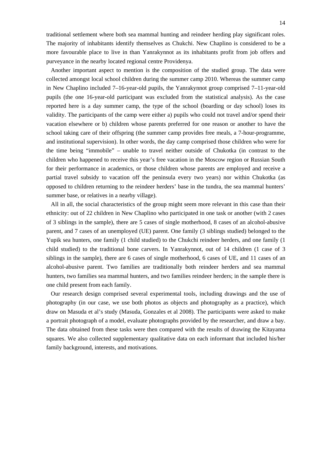traditional settlement where both sea mammal hunting and reindeer herding play significant roles. The majority of inhabitants identify themselves as Chukchi. New Chaplino is considered to be a more favourable place to live in than Yanrakynnot as its inhabitants profit from job offers and purveyance in the nearby located regional centre Providenya.

Another important aspect to mention is the composition of the studied group. The data were collected amongst local school children during the summer camp 2010. Whereas the summer camp in New Chaplino included 7–16-year-old pupils, the Yanrakynnot group comprised 7–11-year-old pupils (the one 16-year-old participant was excluded from the statistical analysis). As the case reported here is a day summer camp, the type of the school (boarding or day school) loses its validity. The participants of the camp were either a) pupils who could not travel and/or spend their vacation elsewhere or b) children whose parents preferred for one reason or another to have the school taking care of their offspring (the summer camp provides free meals, a 7-hour-programme, and institutional supervision). In other words, the day camp comprised those children who were for the time being "immobile" – unable to travel neither outside of Chukotka (in contrast to the children who happened to receive this year's free vacation in the Moscow region or Russian South for their performance in academics, or those children whose parents are employed and receive a partial travel subsidy to vacation off the peninsula every two years) nor within Chukotka (as opposed to children returning to the reindeer herders' base in the tundra, the sea mammal hunters' summer base, or relatives in a nearby village).

All in all, the social characteristics of the group might seem more relevant in this case than their ethnicity: out of 22 children in New Chaplino who participated in one task or another (with 2 cases of 3 siblings in the sample), there are 5 cases of single motherhood, 8 cases of an alcohol-abusive parent, and 7 cases of an unemployed (UE) parent. One family (3 siblings studied) belonged to the Yupik sea hunters, one family (1 child studied) to the Chukchi reindeer herders, and one family (1 child studied) to the traditional bone carvers. In Yanrakynnot, out of 14 children (1 case of 3 siblings in the sample), there are 6 cases of single motherhood, 6 cases of UE, and 11 cases of an alcohol-abusive parent. Two families are traditionally both reindeer herders and sea mammal hunters, two families sea mammal hunters, and two families reindeer herders; in the sample there is one child present from each family.

Our research design comprised several experimental tools, including drawings and the use of photography (in our case, we use both photos as objects and photography as a practice), which draw on Masuda et al's study (Masuda, Gonzales et al 2008). The participants were asked to make a portrait photograph of a model, evaluate photographs provided by the researcher, and draw a bay. The data obtained from these tasks were then compared with the results of drawing the Kitayama squares. We also collected supplementary qualitative data on each informant that included his/her family background, interests, and motivations.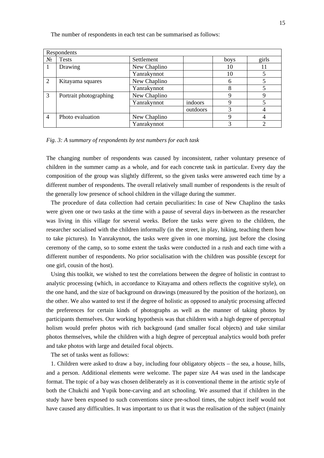| Respondents    |                        |              |          |      |       |  |
|----------------|------------------------|--------------|----------|------|-------|--|
| $N_2$          | <b>Tests</b>           | Settlement   |          | boys | girls |  |
|                | Drawing                | New Chaplino |          | 10   |       |  |
|                |                        | Yanrakynnot  |          | 10   |       |  |
| 2              | Kitayama squares       | New Chaplino |          | 6    |       |  |
|                |                        | Yanrakynnot  |          | 8    |       |  |
| 3              | Portrait photographing | New Chaplino |          | 9    |       |  |
|                |                        | Yanrakynnot  | indoors  | q    |       |  |
|                |                        |              | outdoors | 3    |       |  |
| $\overline{4}$ | Photo evaluation       | New Chaplino |          | 9    |       |  |
|                |                        | Yanrakynnot  |          |      |       |  |

The number of respondents in each test can be summarised as follows:

## *Fig. 3: A summary of respondents by test numbers for each task*

The changing number of respondents was caused by inconsistent, rather voluntary presence of children in the summer camp as a whole, and for each concrete task in particular. Every day the composition of the group was slightly different, so the given tasks were answered each time by a different number of respondents. The overall relatively small number of respondents is the result of the generally low presence of school children in the village during the summer.

The procedure of data collection had certain peculiarities: In case of New Chaplino the tasks were given one or two tasks at the time with a pause of several days in-between as the researcher was living in this village for several weeks. Before the tasks were given to the children, the researcher socialised with the children informally (in the street, in play, hiking, teaching them how to take pictures). In Yanrakynnot, the tasks were given in one morning, just before the closing ceremony of the camp, so to some extent the tasks were conducted in a rush and each time with a different number of respondents. No prior socialisation with the children was possible (except for one girl, cousin of the host).

Using this toolkit, we wished to test the correlations between the degree of holistic in contrast to analytic processing (which, in accordance to Kitayama and others reflects the cognitive style), on the one hand, and the size of background on drawings (measured by the position of the horizon), on the other. We also wanted to test if the degree of holistic as opposed to analytic processing affected the preferences for certain kinds of photographs as well as the manner of taking photos by participants themselves. Our working hypothesis was that children with a high degree of perceptual holism would prefer photos with rich background (and smaller focal objects) and take similar photos themselves, while the children with a high degree of perceptual analytics would both prefer and take photos with large and detailed focal objects.

The set of tasks went as follows:

1. Children were asked to draw a bay, including four obligatory objects – the sea, a house, hills, and a person. Additional elements were welcome. The paper size A4 was used in the landscape format. The topic of a bay was chosen deliberately as it is conventional theme in the artistic style of both the Chukchi and Yupik bone-carving and art schooling. We assumed that if children in the study have been exposed to such conventions since pre-school times, the subject itself would not have caused any difficulties. It was important to us that it was the realisation of the subject (mainly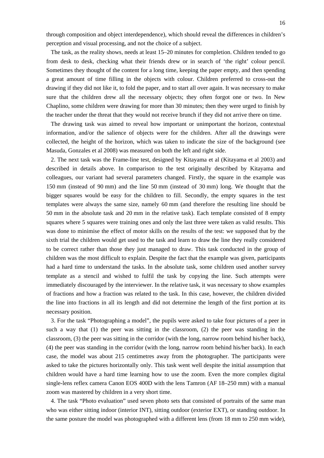through composition and object interdependence), which should reveal the differences in children's perception and visual processing, and not the choice of a subject.

The task, as the reality shows, needs at least 15–20 minutes for completion. Children tended to go from desk to desk, checking what their friends drew or in search of 'the right' colour pencil. Sometimes they thought of the content for a long time, keeping the paper empty, and then spending a great amount of time filling in the objects with colour. Children preferred to cross-out the drawing if they did not like it, to fold the paper, and to start all over again. It was necessary to make sure that the children drew all the necessary objects; they often forgot one or two. In New Chaplino, some children were drawing for more than 30 minutes; then they were urged to finish by the teacher under the threat that they would not receive brunch if they did not arrive there on time.

The drawing task was aimed to reveal how important or unimportant the horizon, contextual information, and/or the salience of objects were for the children. After all the drawings were collected, the height of the horizon, which was taken to indicate the size of the background (see Masuda, Gonzales et al 2008) was measured on both the left and right side.

2. The next task was the Frame-line test, designed by Kitayama et al (Kitayama et al 2003) and described in details above. In comparison to the test originally described by Kitayama and colleagues, our variant had several parameters changed. Firstly, the square in the example was 150 mm (instead of 90 mm) and the line 50 mm (instead of 30 mm) long. We thought that the bigger squares would be easy for the children to fill. Secondly, the empty squares in the test templates were always the same size, namely 60 mm (and therefore the resulting line should be 50 mm in the absolute task and 20 mm in the relative task). Each template consisted of 8 empty squares where 5 squares were training ones and only the last three were taken as valid results. This was done to minimise the effect of motor skills on the results of the test: we supposed that by the sixth trial the children would get used to the task and learn to draw the line they really considered to be correct rather than those they just managed to draw. This task conducted in the group of children was the most difficult to explain. Despite the fact that the example was given, participants had a hard time to understand the tasks. In the absolute task, some children used another survey template as a stencil and wished to fulfil the task by copying the line. Such attempts were immediately discouraged by the interviewer. In the relative task, it was necessary to show examples of fractions and how a fraction was related to the task. In this case, however, the children divided the line into fractions in all its length and did not determine the length of the first portion at its necessary position.

3. For the task "Photographing a model", the pupils were asked to take four pictures of a peer in such a way that (1) the peer was sitting in the classroom, (2) the peer was standing in the classroom, (3) the peer was sitting in the corridor (with the long, narrow room behind his/her back), (4) the peer was standing in the corridor (with the long, narrow room behind his/her back). In each case, the model was about 215 centimetres away from the photographer. The participants were asked to take the pictures horizontally only. This task went well despite the initial assumption that children would have a hard time learning how to use the zoom. Even the more complex digital single-lens reflex camera Canon EOS 400D with the lens Tamron (AF 18–250 mm) with a manual zoom was mastered by children in a very short time.

4. The task "Photo evaluation" used seven photo sets that consisted of portraits of the same man who was either sitting indoor (interior INT), sitting outdoor (exterior EXT), or standing outdoor. In the same posture the model was photographed with a different lens (from 18 mm to 250 mm wide),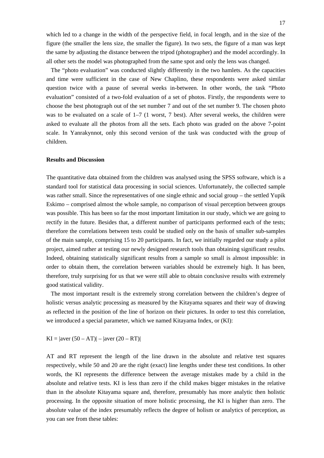which led to a change in the width of the perspective field, in focal length, and in the size of the figure (the smaller the lens size, the smaller the figure). In two sets, the figure of a man was kept the same by adjusting the distance between the tripod (photographer) and the model accordingly. In all other sets the model was photographed from the same spot and only the lens was changed.

The "photo evaluation" was conducted slightly differently in the two hamlets. As the capacities and time were sufficient in the case of New Chaplino, these respondents were asked similar question twice with a pause of several weeks in-between. In other words, the task "Photo evaluation" consisted of a two-fold evaluation of a set of photos. Firstly, the respondents were to choose the best photograph out of the set number 7 and out of the set number 9. The chosen photo was to be evaluated on a scale of 1–7 (1 worst, 7 best). After several weeks, the children were asked to evaluate all the photos from all the sets. Each photo was graded on the above 7-point scale. In Yanrakynnot, only this second version of the task was conducted with the group of children.

## **Results and Discussion**

The quantitative data obtained from the children was analysed using the SPSS software, which is a standard tool for statistical data processing in social sciences. Unfortunately, the collected sample was rather small. Since the representatives of one single ethnic and social group – the settled Yupik Eskimo – comprised almost the whole sample, no comparison of visual perception between groups was possible. This has been so far the most important limitation in our study, which we are going to rectify in the future. Besides that, a different number of participants performed each of the tests; therefore the correlations between tests could be studied only on the basis of smaller sub-samples of the main sample, comprising 15 to 20 participants. In fact, we initially regarded our study a pilot project, aimed rather at testing our newly designed research tools than obtaining significant results. Indeed, obtaining statistically significant results from a sample so small is almost impossible: in order to obtain them, the correlation between variables should be extremely high. It has been, therefore, truly surprising for us that we were still able to obtain conclusive results with extremely good statistical validity.

The most important result is the extremely strong correlation between the children's degree of holistic versus analytic processing as measured by the Kitayama squares and their way of drawing as reflected in the position of the line of horizon on their pictures. In order to test this correlation, we introduced a special parameter, which we named Kitayama Index, or (KI):

 $KI = |aver (50 - AT)| - |aver (20 - RT)|$ 

AT and RT represent the length of the line drawn in the absolute and relative test squares respectively, while 50 and 20 are the right (exact) line lengths under these test conditions. In other words, the KI represents the difference between the average mistakes made by a child in the absolute and relative tests. KI is less than zero if the child makes bigger mistakes in the relative than in the absolute Kitayama square and, therefore, presumably has more analytic then holistic processing. In the opposite situation of more holistic processing, the KI is higher than zero. The absolute value of the index presumably reflects the degree of holism or analytics of perception, as you can see from these tables: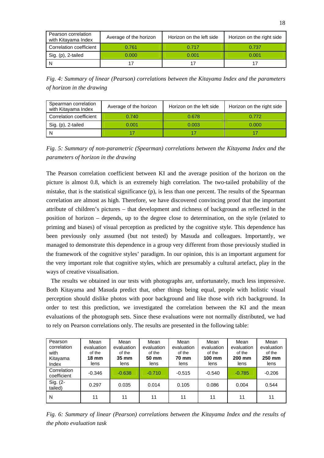| Pearson correlation<br>with Kitayama Index | Average of the horizon | Horizon on the left side | Horizon on the right side |  |
|--------------------------------------------|------------------------|--------------------------|---------------------------|--|
| Correlation coefficient                    | 0.761                  | 0.717                    | 0.737                     |  |
| Sig. (p), 2-tailed                         | 0.000                  | 0.001                    | 0.001                     |  |
| -N                                         |                        |                          |                           |  |

*Fig. 4: Summary of linear (Pearson) correlations between the Kitayama Index and the parameters of horizon in the drawing* 

| Spearman correlation<br>with Kitayama Index | Average of the horizon | Horizon on the left side | Horizon on the right side |  |
|---------------------------------------------|------------------------|--------------------------|---------------------------|--|
| Correlation coefficient                     | 0.740                  | 0.678                    | 0.772                     |  |
| Sig. (p), 2-tailed                          | 0.001                  | 0.003                    | 0.000                     |  |
|                                             |                        |                          |                           |  |

*Fig. 5: Summary of non-parametric (Spearman) correlations between the Kitayama Index and the parameters of horizon in the drawing* 

The Pearson correlation coefficient between KI and the average position of the horizon on the picture is almost 0.8, which is an extremely high correlation. The two-tailed probability of the mistake, that is the statistical significance (p), is less than one percent. The results of the Spearman correlation are almost as high. Therefore, we have discovered convincing proof that the important attribute of children's pictures – that development and richness of background as reflected in the position of horizon – depends, up to the degree close to determination, on the style (related to priming and biases) of visual perception as predicted by the cognitive style. This dependence has been previously only assumed (but not tested) by Masuda and colleagues. Importantly, we managed to demonstrate this dependence in a group very different from those previously studied in the framework of the cognitive styles' paradigm. In our opinion, this is an important argument for the very important role that cognitive styles, which are presumably a cultural artefact, play in the ways of creative visualisation.

The results we obtained in our tests with photographs are, unfortunately, much less impressive. Both Kitayama and Masuda predict that, other things being equal, people with holistic visual perception should dislike photos with poor background and like those with rich background. In order to test this prediction, we investigated the correlation between the KI and the mean evaluations of the photograph sets. Since these evaluations were not normally distributed, we had to rely on Pearson correlations only. The results are presented in the following table:

| Pearson<br>correlation<br>with<br>Kitayama<br>Index | Mean<br>evaluation<br>of the<br><b>18 mm</b><br>lens | Mean<br>evaluation<br>of the<br>$35 \text{ mm}$<br>lens | Mean<br>evaluation<br>of the<br>50 mm<br>lens | Mean<br>evaluation<br>of the<br><b>70 mm</b><br>lens | Mean<br>evaluation<br>of the<br>100 mm<br>lens | Mean<br>evaluation<br>of the<br>200 mm<br>lens | Mean<br>evaluation<br>of the<br>250 mm<br>lens |
|-----------------------------------------------------|------------------------------------------------------|---------------------------------------------------------|-----------------------------------------------|------------------------------------------------------|------------------------------------------------|------------------------------------------------|------------------------------------------------|
| Correlation<br>coefficient                          | $-0.346$                                             | $-0.638$                                                | $-0.710$                                      | $-0.515$                                             | $-0.540$                                       | $-0.785$                                       | $-0.206$                                       |
| Sig. (2-<br>tailed)                                 | 0.297                                                | 0.035                                                   | 0.014                                         | 0.105                                                | 0.086                                          | 0.004                                          | 0.544                                          |
| N                                                   | 11                                                   | 11                                                      | 11                                            | 11                                                   | 11                                             | 11                                             | 11                                             |

*Fig. 6: Summary of linear (Pearson) correlations between the Kitayama Index and the results of the photo evaluation task*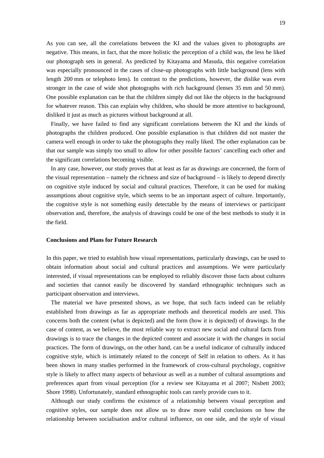As you can see, all the correlations between the KI and the values given to photographs are negative. This means, in fact, that the more holistic the perception of a child was, the less he liked our photograph sets in general. As predicted by Kitayama and Masuda, this negative correlation was especially pronounced in the cases of close-up photographs with little background (lens with length 200 mm or telephoto lens). In contrast to the predictions, however, the dislike was even stronger in the case of wide shot photographs with rich background (lenses 35 mm and 50 mm). One possible explanation can be that the children simply did not like the objects in the background for whatever reason. This can explain why children, who should be more attentive to background, disliked it just as much as pictures without background at all.

Finally, we have failed to find any significant correlations between the KI and the kinds of photographs the children produced. One possible explanation is that children did not master the camera well enough in order to take the photographs they really liked. The other explanation can be that our sample was simply too small to allow for other possible factors' cancelling each other and the significant correlations becoming visible.

In any case, however, our study proves that at least as far as drawings are concerned, the form of the visual representation – namely the richness and size of background – is likely to depend directly on cognitive style induced by social and cultural practices. Therefore, it can be used for making assumptions about cognitive style, which seems to be an important aspect of culture. Importantly, the cognitive style is not something easily detectable by the means of interviews or participant observation and, therefore, the analysis of drawings could be one of the best methods to study it in the field.

#### **Conclusions and Plans for Future Research**

In this paper, we tried to establish how visual representations, particularly drawings, can be used to obtain information about social and cultural practices and assumptions. We were particularly interested, if visual representations can be employed to reliably discover those facts about cultures and societies that cannot easily be discovered by standard ethnographic techniques such as participant observation and interviews.

The material we have presented shows, as we hope, that such facts indeed can be reliably established from drawings as far as appropriate methods and theoretical models are used. This concerns both the content (what is depicted) and the form (how it is depicted) of drawings. In the case of content, as we believe, the most reliable way to extract new social and cultural facts from drawings is to trace the changes in the depicted content and associate it with the changes in social practices. The form of drawings, on the other hand, can be a useful indicator of culturally induced cognitive style, which is intimately related to the concept of Self in relation to others. As it has been shown in many studies performed in the framework of cross-cultural psychology, cognitive style is likely to affect many aspects of behaviour as well as a number of cultural assumptions and preferences apart from visual perception (for a review see Kitayama et al 2007; Nisbett 2003; Shore 1998). Unfortunately, standard ethnographic tools can rarely provide cues to it.

Although our study confirms the existence of a relationship between visual perception and cognitive styles, our sample does not allow us to draw more valid conclusions on how the relationship between socialisation and/or cultural influence, on one side, and the style of visual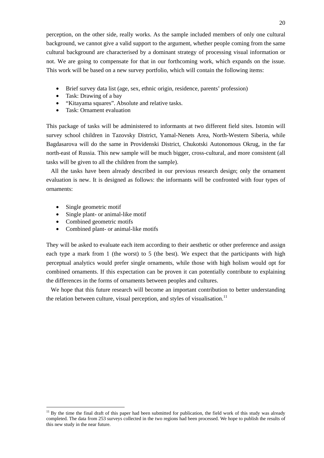perception, on the other side, really works. As the sample included members of only one cultural background, we cannot give a valid support to the argument, whether people coming from the same cultural background are characterised by a dominant strategy of processing visual information or not. We are going to compensate for that in our forthcoming work, which expands on the issue. This work will be based on a new survey portfolio, which will contain the following items:

- Brief survey data list (age, sex, ethnic origin, residence, parents' profession)
- Task: Drawing of a bay
- "Kitayama squares". Absolute and relative tasks.
- Task: Ornament evaluation

This package of tasks will be administered to informants at two different field sites. Istomin will survey school children in Tazovsky District, Yamal-Nenets Area, North-Western Siberia, while Bagdasarova will do the same in Providenski District, Chukotski Autonomous Okrug, in the far north-east of Russia. This new sample will be much bigger, cross-cultural, and more consistent (all tasks will be given to all the children from the sample).

All the tasks have been already described in our previous research design; only the ornament evaluation is new. It is designed as follows: the informants will be confronted with four types of ornaments:

• Single geometric motif

1

- Single plant- or animal-like motif
- Combined geometric motifs
- Combined plant- or animal-like motifs

They will be asked to evaluate each item according to their aesthetic or other preference and assign each type a mark from 1 (the worst) to 5 (the best). We expect that the participants with high perceptual analytics would prefer single ornaments, while those with high holism would opt for combined ornaments. If this expectation can be proven it can potentially contribute to explaining the differences in the forms of ornaments between peoples and cultures.

We hope that this future research will become an important contribution to better understanding the relation between culture, visual perception, and styles of visualisation.<sup>11</sup>

 $11$  By the time the final draft of this paper had been submitted for publication, the field work of this study was already completed. The data from 253 surveys collected in the two regions had been processed. We hope to publish the results of this new study in the near future.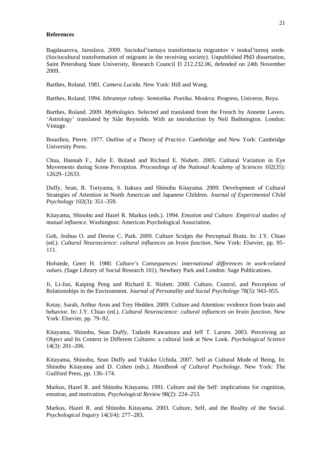#### **References**

Bagdasarova, Jaroslava. 2009. Sociokul'turnaya transformacia migrantov v inokul'turnoj srede. (Sociocultural transformation of migrants in the receiving society). Unpublished PhD dissertation, Saint Petersburg State University, Research Council D 212.232.06, defended on 24th November 2009.

Barthes, Roland. 1981. *Camera Lucida.* New York: Hill and Wang.

Barthes, Roland. 1994. *Izbrannye raboty. Semiotika. Poetika.* Moskva: Progress, Universe, Reya.

Barthes, Roland. 2009. *Mythologies*. Selected and translated from the French by Annette Lavers. 'Astrology' translated by Siân Reynolds. With an introduction by Neil Badmington. London: Vintage.

Bourdieu, Pierre. 1977. *Outline of a Theory of Practice.* Cambridge and New York: Cambridge University Press.

Chua, Hannah F., Julie E. Boland and Richard E. Nisbett. 2005. Cultural Variation in Eye Movements during Scene Perception. *Proceedings of the National Academy of Sciences* 102(35): 12629–12633.

Duffy, Sean, R. Toriyama, S. Itakura and Shinobu Kitayama. 2009. Development of Cultural Strategies of Attention in North American and Japanese Children. *Journal of Experimental Child Psychology* 102(3): 351–359.

Kitayama, Shinobu and Hazel R. Markus (eds.). 1994. *Emotion and Culture. Empirical studies of mutual influence.* Washington: American Psychological Association.

Goh, Joshua O. and Denise C. Park. 2009. Culture Sculpts the Perceptual Brain. In: J.Y. Chiao (ed.). *Cultural Neuroscience: cultural influences on brain function*, New York: Elsevier, pp. 95– 111.

Hofstede, Geert H. 1980. *Culture's Consequences: international differences in work-related values*. (Sage Library of Social Research 101). Newbury Park and London: Sage Publications.

Ji, Li-Jun, Kaiping Peng and Richard E. Nisbett. 2000. Culture, Control, and Perception of Relationships in the Environment. *Journal of Personality and Social Psychology* 78(5): 943–955.

Ketay, Sarah, Arthur Aron and Trey Hedden. 2009. Culture and Attention: evidence from brain and behavior. In: J.Y. Chiao (ed.). *Cultural Neuroscience: cultural influences on brain function*. New York: Elsevier, pp. 79–92.

Kitayama, Shinobu, Sean Duffy, Tadashi Kawamura and Jeff T. Larsen. 2003. Perceiving an Object and Its Context in Different Cultures: a cultural look at New Look. *Psychological Science* 14(3): 201–206.

Kitayama, Shinobu, Sean Duffy and Yukiko Uchida. 2007. Self as Cultural Mode of Being. In: Shinobu Kitayama and D. Cohen (eds.). *Handbook of Cultural Psychology.* New York: The Guilford Press, pp. 136–174.

Markus, Hazel R. and Shinobu Kitayama. 1991. Culture and the Self: implications for cognition, emotion, and motivation. *Psychological Review* 98(2): 224–253.

Markus, Hazel R. and Shinobu Kitayama. 2003. Culture, Self, and the Reality of the Social. *Psychological Inquiry* 14(3/4): 277–283.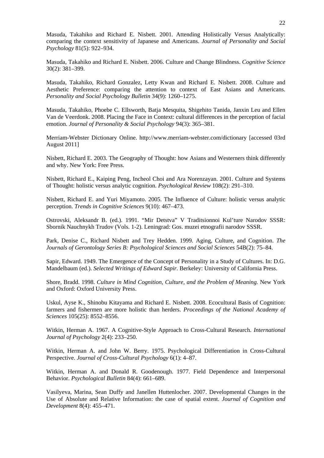Masuda, Takahiko and Richard E. Nisbett. 2001. Attending Holistically Versus Analytically: comparing the context sensitivity of Japanese and Americans. *Journal of Personality and Social Psychology* 81(5): 922–934.

Masuda, Takahiko and Richard E. Nisbett. 2006. Culture and Change Blindness. *Cognitive Science* 30(2): 381–399.

Masuda, Takahiko, Richard Gonzalez, Letty Kwan and Richard E. Nisbett. 2008. Culture and Aesthetic Preference: comparing the attention to context of East Asians and Americans. *Personality and Social Psychology Bulletin* 34(9): 1260–1275.

Masuda, Takahiko, Phoebe C. Ellsworth, Batja Mesquita, Shigehito Tanida, Janxin Leu and Ellen Van de Veerdonk. 2008. Placing the Face in Context: cultural differences in the perception of facial emotion. *Journal of Personality & Social Psychology* 94(3): 365–381.

Merriam-Webster Dictionary Online. http://www.merriam-webster.com/dictionary [accessed 03rd August 2011]

Nisbett, Richard E. 2003. The Geography of Thought: how Asians and Westerners think differently and why. New York: Free Press.

Nisbett, Richard E., Kaiping Peng, Incheol Choi and Ara Norenzayan. 2001. Culture and Systems of Thought: holistic versus analytic cognition. *Psychological Review* 108(2): 291–310.

Nisbett, Richard E. and Yuri Miyamoto. 2005. The Influence of Culture: holistic versus analytic perception. *Trends in Cognitive Sciences* 9(10): 467–473.

Ostrovski, Aleksandr B. (ed.). 1991. "Mir Detstva" V Traditsionnoi Kul'ture Narodov SSSR: Sbornik Nauchnykh Trudov (Vols. 1-2). Leningrad: Gos. muzei etnografii narodov SSSR.

Park, Denise C., Richard Nisbett and Trey Hedden. 1999. Aging, Culture, and Cognition. *The Journals of Gerontology Series B: Psychological Sciences and Social Sciences* 54B(2): 75–84.

Sapir, Edward. 1949. The Emergence of the Concept of Personality in a Study of Cultures. In: D.G. Mandelbaum (ed.). *Selected Writings of Edward Sapir*. Berkeley: University of California Press.

Shore, Bradd. 1998. *Culture in Mind Cognition, Culture, and the Problem of Meaning.* New York and Oxford: Oxford University Press.

Uskul, Ayse K., Shinobu Kitayama and Richard E. Nisbett. 2008. Ecocultural Basis of Cognition: farmers and fishermen are more holistic than herders. *Proceedings of the National Academy of Sciences* 105(25): 8552–8556.

Witkin, Herman A. 1967. A Cognitive-Style Approach to Cross-Cultural Research. *International Journal of Psychology* 2(4): 233–250.

Witkin, Herman A. and John W. Berry. 1975. Psychological Differentiation in Cross-Cultural Perspective. *Journal of Cross-Cultural Psychology* 6(1): 4–87.

Witkin, Herman A. and Donald R. Goodenough. 1977. Field Dependence and Interpersonal Behavior. *Psychological Bulletin* 84(4): 661–689.

Vasilyeva, Marina, Sean Duffy and Janellen Huttenlocher. 2007. Developmental Changes in the Use of Absolute and Relative Information: the case of spatial extent. *Journal of Cognition and Development* 8(4): 455–471.